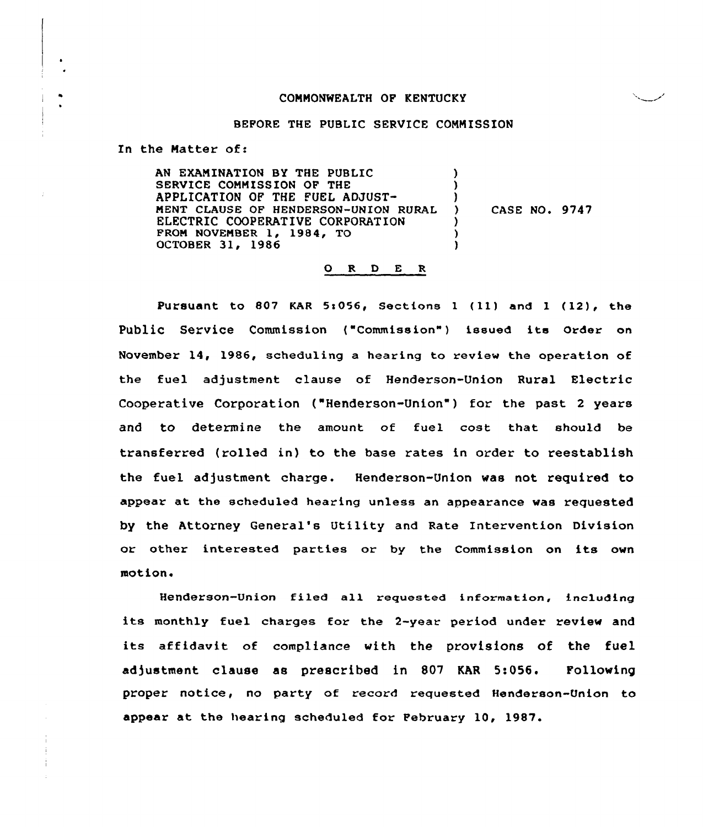# COMMONWEALTH OF KENTUCKY

#### BEFORE THE PUBLIC SERVICE CONNISSION

In the Natter of:

AN EXAMINATION BY THE PUBLIC SERVICE COMMISSION OF THE APPLICATION OF THE FUEL ADJUST-MENT CLAUSE OF HENDERSON-UNION RURAL ELECTRIC COOPERATIVE CORPORATION FROM NOVEMBER 1, 1984, TO OCTOBER 31, 1986 ) )<br>) ) CASE NO. 9747 ) } )

#### 0 <sup>R</sup> <sup>D</sup> E <sup>R</sup>

Pursuant to 807 KAR 5:056, Sections 1 (11) and 1 (12), the Public Service Commission {"Commission") issued its Order on November 14, 1986, scheduling a hearing to review the operation of the fuel adjustment clause of Henderson-Union Rural Electric Cooperative Corporation ("Henderson-Union") for the past 2 years and to determine the amount of fuel cost that should be transferred (rolled in) to the base rates in order to reestablish the fuel adjustment charge. Henderson-Union was not required to appear at the scheduled hearing unless an appearance was requested by the Attorney General's Utility and Rate Intervention Division or other interested parties or by the Commission on its own motion.

Henderson-Union filed all regueated information, including its monthly fuel charges for the 2-year period under review and its affidavit of compliance with the provisions of the fuel adjustment clause as prescribed in 807 KAR 5:056. Following proper notice, no party of record requested Henderson-Union to appear at the hearing scheduled for February 10, 1987.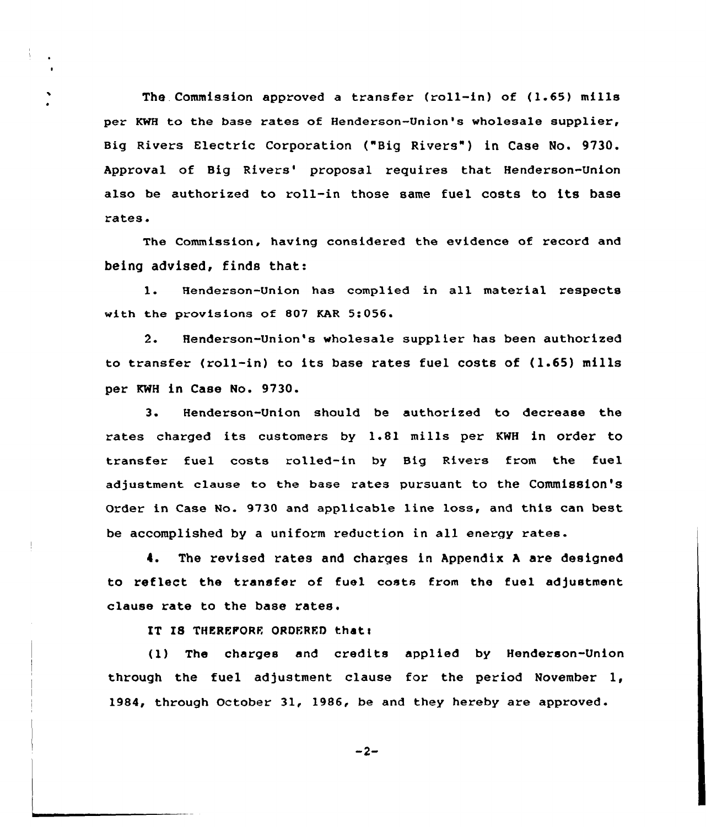The. Commission approved a transfer (roll-in) of (1.65) mills per KWH to the base rates of Henderson-Union's wholesale supplier, Big Rivers Electric Corporation ("Big Rivers") in Case No. 9730. Approval of Big Rivers' proposal requires that Henderson-Union also be authorized to roll-in those same fuel costs to its base rates.

The Commission, having considered the evidence of record and being advised, finds that:

l. Henderson-Union has complied in all material respects with the provisions of 807 KAR 5:056

 $2.$ Henderson-Union's wholesale supplier has been authorized to transfer (roll-in) to its base rates fuel costs of (1.65) mills per KWH in Case No. 9730.

3. Henderson-Union should be authorized to decrease the rates charged its customers by 1.81 mills per KWH in order to transfer fuel costs rolled-in by Big Rivers from the fuel adjustment clause to the base rates pursuant to the commission's Order in Case No. 9730 and applicable line loss, and this can best be accomplished by <sup>a</sup> uniform reduction in all energy rates.

4. The revised rates and charges in Appendix <sup>A</sup> are designed to reflect the transfer of fuel costs from the fuel adjustment clause rate to the base rates.

IT IS THEREFORE ORDERED that:

(1) The charges and credits applied by Henderson-Union through the fuel adjustment clause for the period November 1, 1984, through October 31, 1986, be and they hereby are approved.

 $-2-$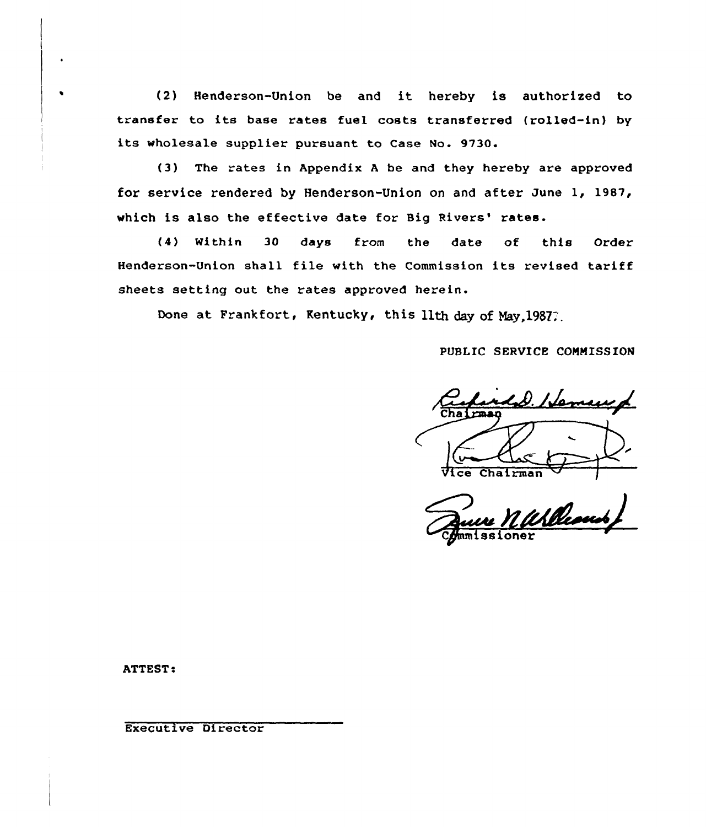(2) Henderson-Union be and it hereby is authorized to transfer to its base rates fuel costs transferred (rolled-in} by its wholesale supplier pursuant to Case Mo. 9730.

(3) The rates in Appendix <sup>A</sup> be and they hereby are approved for service rendered by Henderson-Union on and after June 1, 1987, which is also the effective date for Big Rivers' rates.

(4) Within 30 days from the date of this Order Henderson-Union shall file with the Commission its revised tariff sheets setting out the rates approved herein.

Done at Frankfort, Kentucky, this 11th day of May, 19877.

PUBLIC SERVICE COMMISSION

<u>1.D. Hermanyd</u> Chairman

ssioner

ATTEST:

Executive Di rector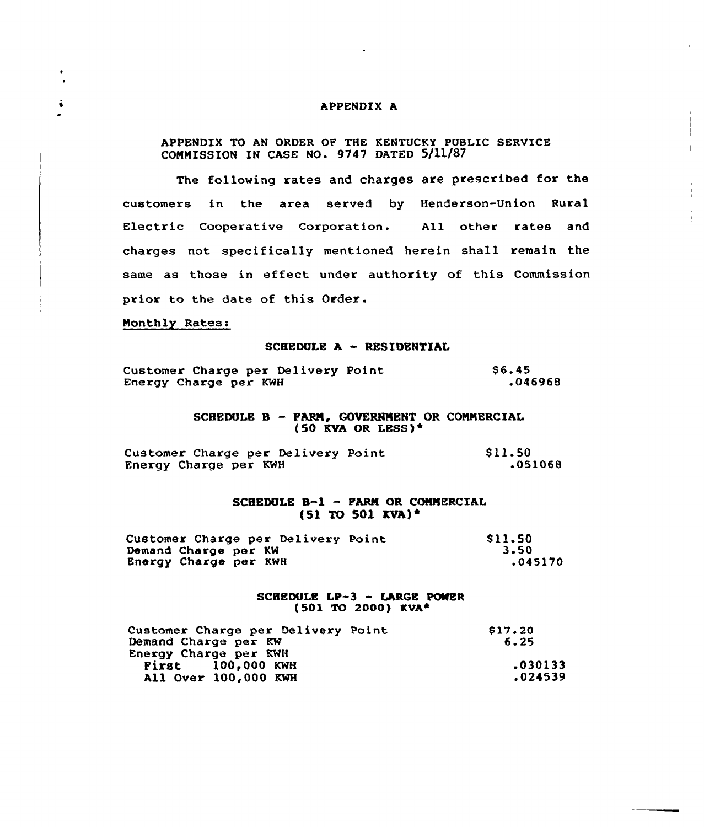### APPENDIX A

# APPENDIX TO AN ORDER OF THE KENTUCKY PUBLIC SERVICE CONNISSION IN CASE NO. 9747 DATED 5/11/87

The following rates and charges are prescribed for the customers in the area served by Henderson-Union Rural Electric Cooperative Corporation. All other rates and charges not specifically mentioned herein shall remain the same as those in effect under authority of this Commission prior to the date of this Order.

# Monthly Rates:

 $\mathcal{A}$  and  $\mathcal{A}$  are all the set of the set of  $\mathcal{A}$ 

#### SCHEDULE <sup>A</sup> - RESIDENTIAL

|                       | Customer Charge per Delivery Point | \$6.45  |
|-----------------------|------------------------------------|---------|
| Energy Charge per KWH |                                    | .046968 |

SCHEDULE B - FARM, GOVERNMENT OR COMMERCIAL (50 KVA OR LESS)~

|                       | Customer Charge per Delivery Point | \$11.50 |
|-----------------------|------------------------------------|---------|
| Energy Charge per KWH |                                    | .051068 |

# SCHEDULE B-1 - PARM OR COMMERCIAL  $(51 \text{ TO } 501 \text{ KVA})^+$

| Customer Charge per Delivery Point | \$11.50 |
|------------------------------------|---------|
| Demand Charge per KW               | 3.50    |
| Energy Charge per KWH              | .045170 |

### SCHEDULE LP-3 - LARGE POWER (501 TO 2000) KVA~

| Customer Charge per Delivery Point | S17.20  |
|------------------------------------|---------|
| Demand Charge per KW               | 6.25    |
| Energy Charge per KWH              |         |
| <b>First</b> 100,000 KWH           | .030133 |
| All Over 100,000 KWH               | .024539 |